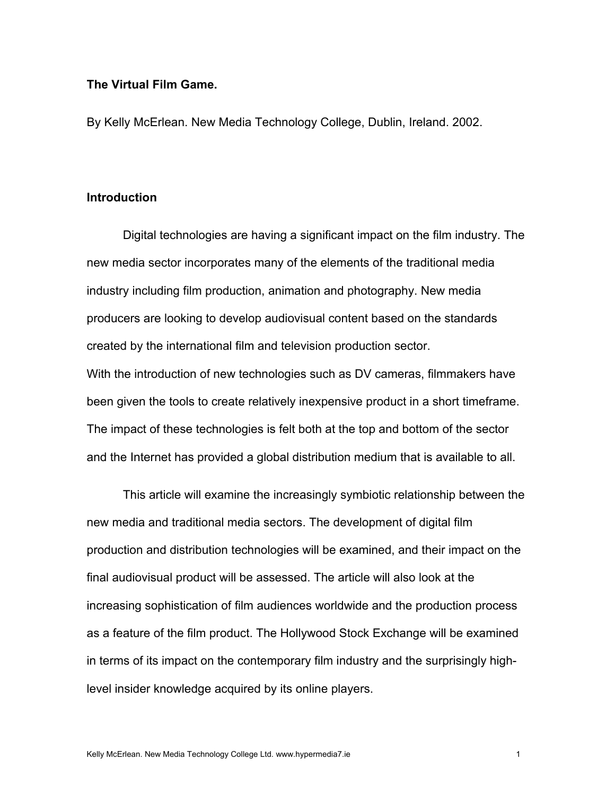# **The Virtual Film Game.**

By Kelly McErlean. New Media Technology College, Dublin, Ireland. 2002.

# **Introduction**

Digital technologies are having a significant impact on the film industry. The new media sector incorporates many of the elements of the traditional media industry including film production, animation and photography. New media producers are looking to develop audiovisual content based on the standards created by the international film and television production sector. With the introduction of new technologies such as DV cameras, filmmakers have

been given the tools to create relatively inexpensive product in a short timeframe. The impact of these technologies is felt both at the top and bottom of the sector and the Internet has provided a global distribution medium that is available to all.

This article will examine the increasingly symbiotic relationship between the new media and traditional media sectors. The development of digital film production and distribution technologies will be examined, and their impact on the final audiovisual product will be assessed. The article will also look at the increasing sophistication of film audiences worldwide and the production process as a feature of the film product. The Hollywood Stock Exchange will be examined in terms of its impact on the contemporary film industry and the surprisingly highlevel insider knowledge acquired by its online players.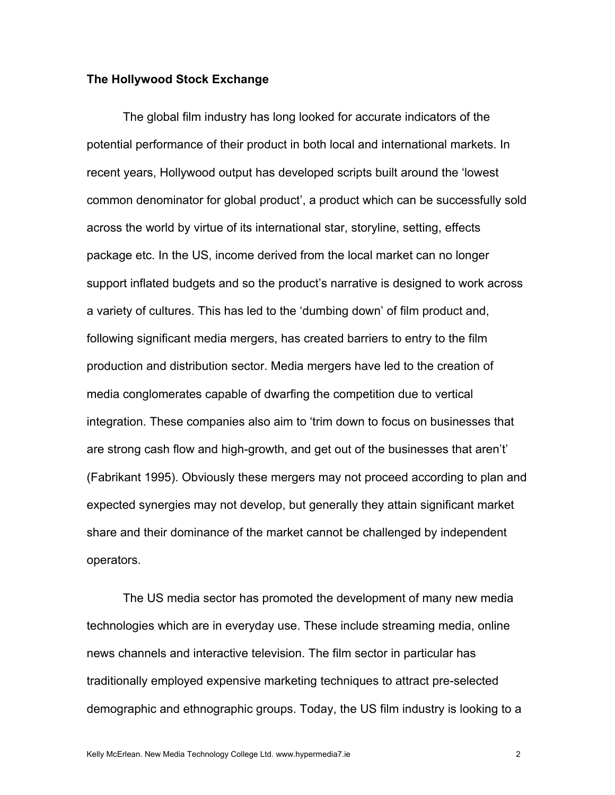#### **The Hollywood Stock Exchange**

The global film industry has long looked for accurate indicators of the potential performance of their product in both local and international markets. In recent years, Hollywood output has developed scripts built around the 'lowest common denominator for global product', a product which can be successfully sold across the world by virtue of its international star, storyline, setting, effects package etc. In the US, income derived from the local market can no longer support inflated budgets and so the product's narrative is designed to work across a variety of cultures. This has led to the 'dumbing down' of film product and, following significant media mergers, has created barriers to entry to the film production and distribution sector. Media mergers have led to the creation of media conglomerates capable of dwarfing the competition due to vertical integration. These companies also aim to 'trim down to focus on businesses that are strong cash flow and high-growth, and get out of the businesses that aren't' (Fabrikant 1995). Obviously these mergers may not proceed according to plan and expected synergies may not develop, but generally they attain significant market share and their dominance of the market cannot be challenged by independent operators.

The US media sector has promoted the development of many new media technologies which are in everyday use. These include streaming media, online news channels and interactive television. The film sector in particular has traditionally employed expensive marketing techniques to attract pre-selected demographic and ethnographic groups. Today, the US film industry is looking to a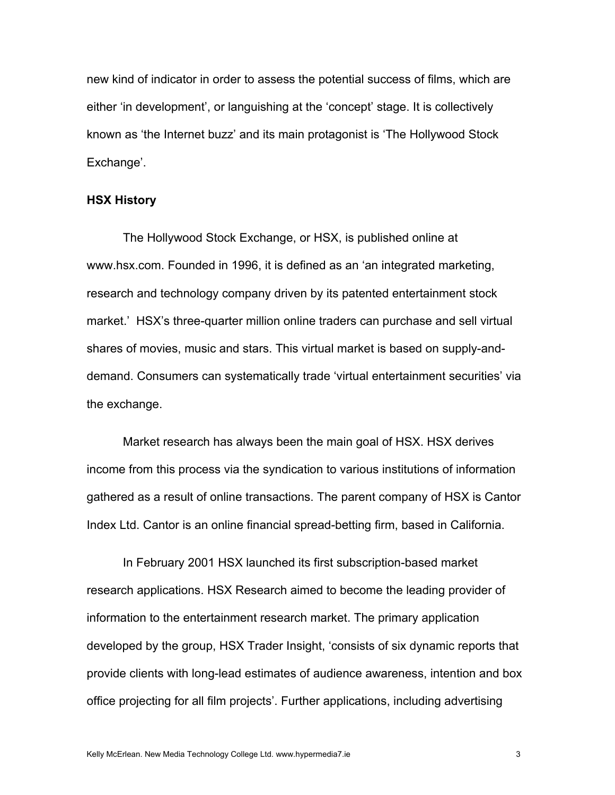new kind of indicator in order to assess the potential success of films, which are either 'in development', or languishing at the 'concept' stage. It is collectively known as 'the Internet buzz' and its main protagonist is 'The Hollywood Stock Exchange'.

## **HSX History**

The Hollywood Stock Exchange, or HSX, is published online at www.hsx.com. Founded in 1996, it is defined as an 'an integrated marketing, research and technology company driven by its patented entertainment stock market.' HSX's three-quarter million online traders can purchase and sell virtual shares of movies, music and stars. This virtual market is based on supply-anddemand. Consumers can systematically trade 'virtual entertainment securities' via the exchange.

Market research has always been the main goal of HSX. HSX derives income from this process via the syndication to various institutions of information gathered as a result of online transactions. The parent company of HSX is Cantor Index Ltd. Cantor is an online financial spread-betting firm, based in California.

In February 2001 HSX launched its first subscription-based market research applications. HSX Research aimed to become the leading provider of information to the entertainment research market. The primary application developed by the group, HSX Trader Insight, 'consists of six dynamic reports that provide clients with long-lead estimates of audience awareness, intention and box office projecting for all film projects'. Further applications, including advertising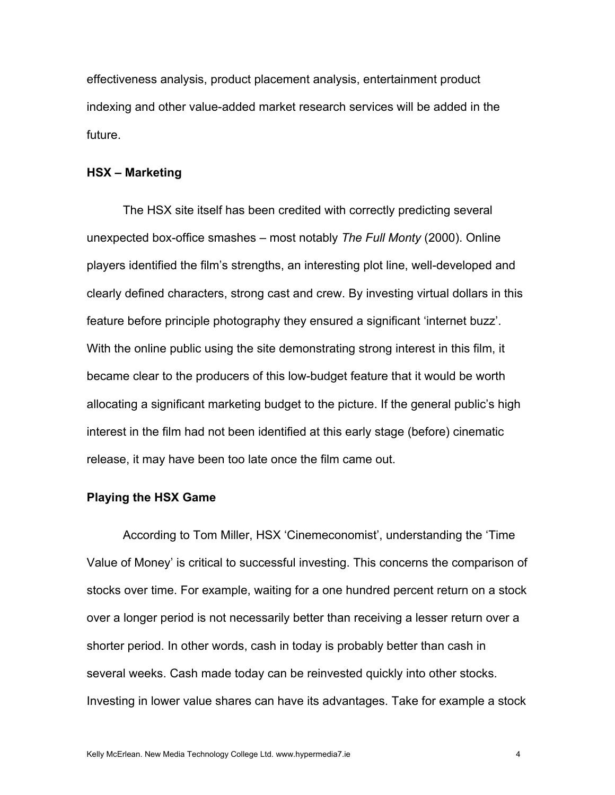effectiveness analysis, product placement analysis, entertainment product indexing and other value-added market research services will be added in the future.

## **HSX – Marketing**

The HSX site itself has been credited with correctly predicting several unexpected box-office smashes – most notably *The Full Monty* (2000). Online players identified the film's strengths, an interesting plot line, well-developed and clearly defined characters, strong cast and crew. By investing virtual dollars in this feature before principle photography they ensured a significant 'internet buzz'. With the online public using the site demonstrating strong interest in this film, it became clear to the producers of this low-budget feature that it would be worth allocating a significant marketing budget to the picture. If the general public's high interest in the film had not been identified at this early stage (before) cinematic release, it may have been too late once the film came out.

# **Playing the HSX Game**

According to Tom Miller, HSX 'Cinemeconomist', understanding the 'Time Value of Money' is critical to successful investing. This concerns the comparison of stocks over time. For example, waiting for a one hundred percent return on a stock over a longer period is not necessarily better than receiving a lesser return over a shorter period. In other words, cash in today is probably better than cash in several weeks. Cash made today can be reinvested quickly into other stocks. Investing in lower value shares can have its advantages. Take for example a stock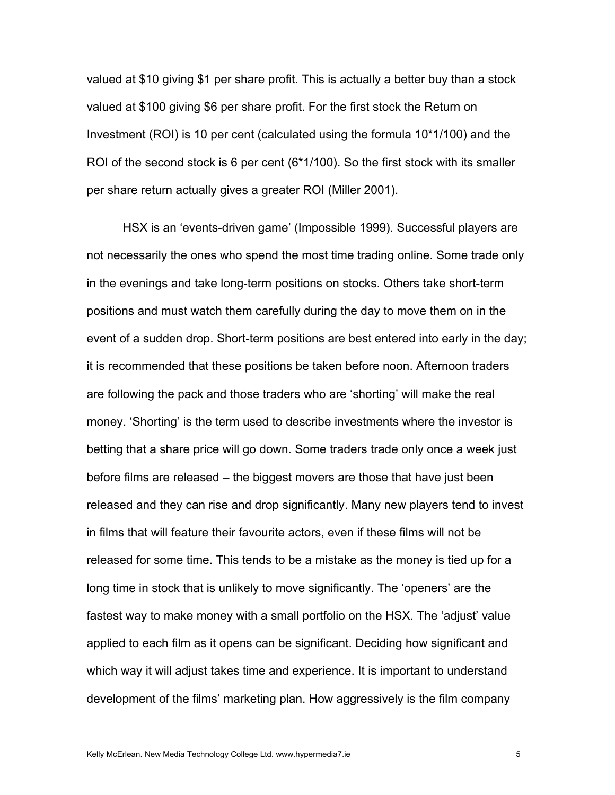valued at \$10 giving \$1 per share profit. This is actually a better buy than a stock valued at \$100 giving \$6 per share profit. For the first stock the Return on Investment (ROI) is 10 per cent (calculated using the formula 10\*1/100) and the ROI of the second stock is 6 per cent (6\*1/100). So the first stock with its smaller per share return actually gives a greater ROI (Miller 2001).

HSX is an 'events-driven game' (Impossible 1999). Successful players are not necessarily the ones who spend the most time trading online. Some trade only in the evenings and take long-term positions on stocks. Others take short-term positions and must watch them carefully during the day to move them on in the event of a sudden drop. Short-term positions are best entered into early in the day; it is recommended that these positions be taken before noon. Afternoon traders are following the pack and those traders who are 'shorting' will make the real money. 'Shorting' is the term used to describe investments where the investor is betting that a share price will go down. Some traders trade only once a week just before films are released – the biggest movers are those that have just been released and they can rise and drop significantly. Many new players tend to invest in films that will feature their favourite actors, even if these films will not be released for some time. This tends to be a mistake as the money is tied up for a long time in stock that is unlikely to move significantly. The 'openers' are the fastest way to make money with a small portfolio on the HSX. The 'adjust' value applied to each film as it opens can be significant. Deciding how significant and which way it will adjust takes time and experience. It is important to understand development of the films' marketing plan. How aggressively is the film company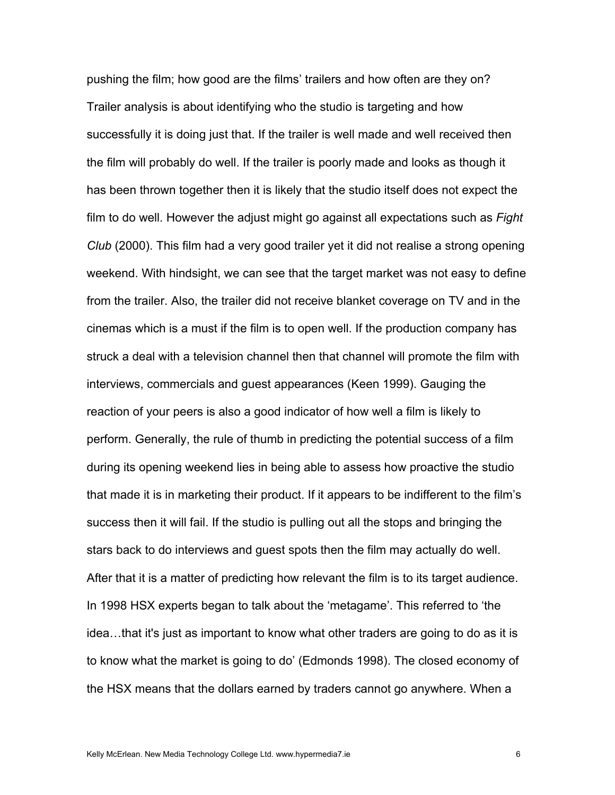pushing the film; how good are the films' trailers and how often are they on? Trailer analysis is about identifying who the studio is targeting and how successfully it is doing just that. If the trailer is well made and well received then the film will probably do well. If the trailer is poorly made and looks as though it has been thrown together then it is likely that the studio itself does not expect the film to do well. However the adjust might go against all expectations such as *Fight Club* (2000). This film had a very good trailer yet it did not realise a strong opening weekend. With hindsight, we can see that the target market was not easy to define from the trailer. Also, the trailer did not receive blanket coverage on TV and in the cinemas which is a must if the film is to open well. If the production company has struck a deal with a television channel then that channel will promote the film with interviews, commercials and guest appearances (Keen 1999). Gauging the reaction of your peers is also a good indicator of how well a film is likely to perform. Generally, the rule of thumb in predicting the potential success of a film during its opening weekend lies in being able to assess how proactive the studio that made it is in marketing their product. If it appears to be indifferent to the film's success then it will fail. If the studio is pulling out all the stops and bringing the stars back to do interviews and guest spots then the film may actually do well. After that it is a matter of predicting how relevant the film is to its target audience. In 1998 HSX experts began to talk about the 'metagame'. This referred to 'the idea…that it's just as important to know what other traders are going to do as it is to know what the market is going to do' (Edmonds 1998). The closed economy of the HSX means that the dollars earned by traders cannot go anywhere. When a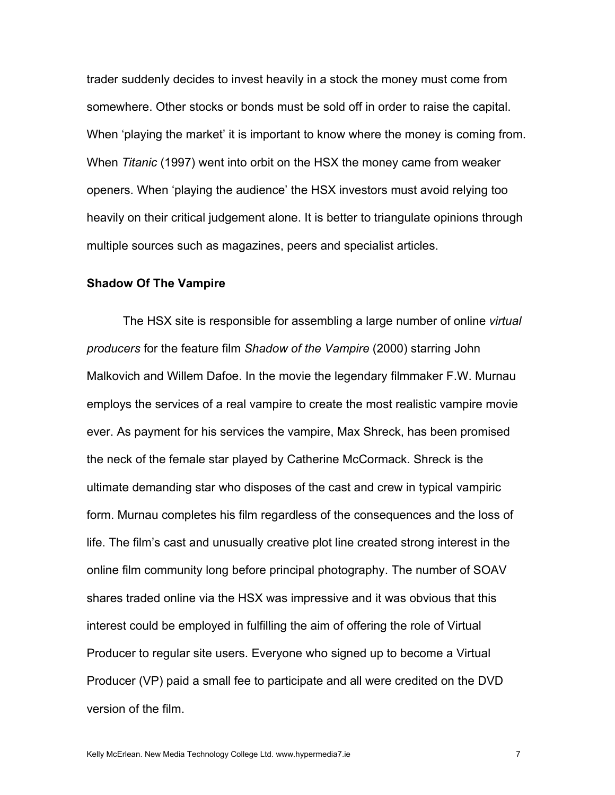trader suddenly decides to invest heavily in a stock the money must come from somewhere. Other stocks or bonds must be sold off in order to raise the capital. When 'playing the market' it is important to know where the money is coming from. When *Titanic* (1997) went into orbit on the HSX the money came from weaker openers. When 'playing the audience' the HSX investors must avoid relying too heavily on their critical judgement alone. It is better to triangulate opinions through multiple sources such as magazines, peers and specialist articles.

#### **Shadow Of The Vampire**

The HSX site is responsible for assembling a large number of online *virtual producers* for the feature film *Shadow of the Vampire* (2000) starring John Malkovich and Willem Dafoe. In the movie the legendary filmmaker F.W. Murnau employs the services of a real vampire to create the most realistic vampire movie ever. As payment for his services the vampire, Max Shreck, has been promised the neck of the female star played by Catherine McCormack. Shreck is the ultimate demanding star who disposes of the cast and crew in typical vampiric form. Murnau completes his film regardless of the consequences and the loss of life. The film's cast and unusually creative plot line created strong interest in the online film community long before principal photography. The number of SOAV shares traded online via the HSX was impressive and it was obvious that this interest could be employed in fulfilling the aim of offering the role of Virtual Producer to regular site users. Everyone who signed up to become a Virtual Producer (VP) paid a small fee to participate and all were credited on the DVD version of the film.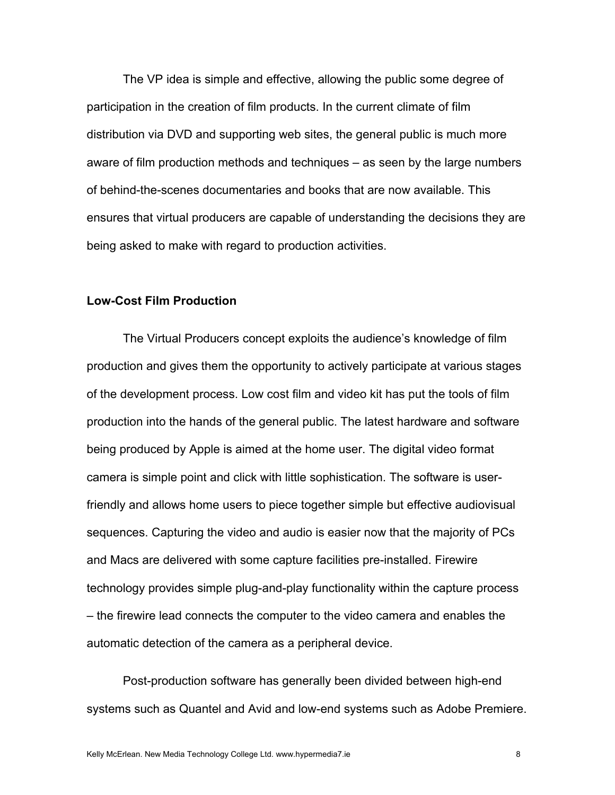The VP idea is simple and effective, allowing the public some degree of participation in the creation of film products. In the current climate of film distribution via DVD and supporting web sites, the general public is much more aware of film production methods and techniques – as seen by the large numbers of behind-the-scenes documentaries and books that are now available. This ensures that virtual producers are capable of understanding the decisions they are being asked to make with regard to production activities.

# **Low-Cost Film Production**

The Virtual Producers concept exploits the audience's knowledge of film production and gives them the opportunity to actively participate at various stages of the development process. Low cost film and video kit has put the tools of film production into the hands of the general public. The latest hardware and software being produced by Apple is aimed at the home user. The digital video format camera is simple point and click with little sophistication. The software is userfriendly and allows home users to piece together simple but effective audiovisual sequences. Capturing the video and audio is easier now that the majority of PCs and Macs are delivered with some capture facilities pre-installed. Firewire technology provides simple plug-and-play functionality within the capture process – the firewire lead connects the computer to the video camera and enables the automatic detection of the camera as a peripheral device.

Post-production software has generally been divided between high-end systems such as Quantel and Avid and low-end systems such as Adobe Premiere.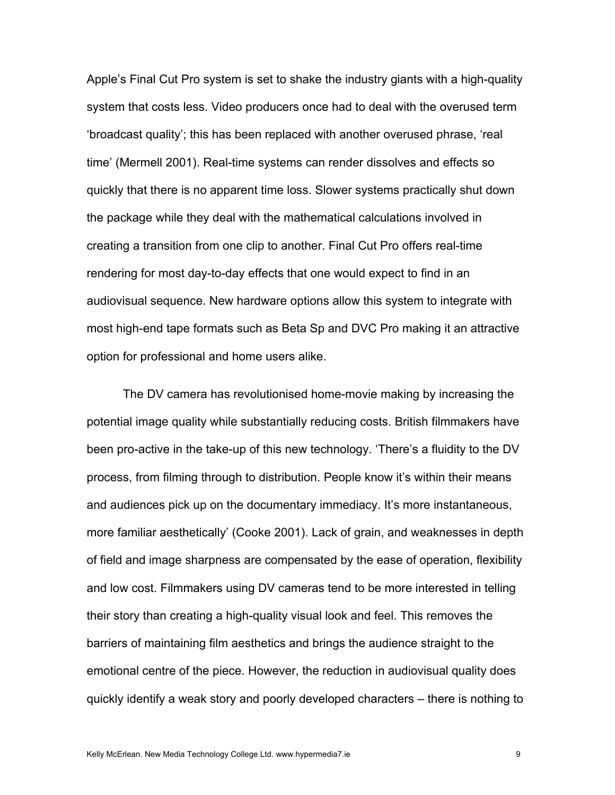Apple's Final Cut Pro system is set to shake the industry giants with a high-quality system that costs less. Video producers once had to deal with the overused term 'broadcast quality'; this has been replaced with another overused phrase, 'real time' (Mermell 2001). Real-time systems can render dissolves and effects so quickly that there is no apparent time loss. Slower systems practically shut down the package while they deal with the mathematical calculations involved in creating a transition from one clip to another. Final Cut Pro offers real-time rendering for most day-to-day effects that one would expect to find in an audiovisual sequence. New hardware options allow this system to integrate with most high-end tape formats such as Beta Sp and DVC Pro making it an attractive option for professional and home users alike.

The DV camera has revolutionised home-movie making by increasing the potential image quality while substantially reducing costs. British filmmakers have been pro-active in the take-up of this new technology. 'There's a fluidity to the DV process, from filming through to distribution. People know it's within their means and audiences pick up on the documentary immediacy. It's more instantaneous, more familiar aesthetically' (Cooke 2001). Lack of grain, and weaknesses in depth of field and image sharpness are compensated by the ease of operation, flexibility and low cost. Filmmakers using DV cameras tend to be more interested in telling their story than creating a high-quality visual look and feel. This removes the barriers of maintaining film aesthetics and brings the audience straight to the emotional centre of the piece. However, the reduction in audiovisual quality does quickly identify a weak story and poorly developed characters – there is nothing to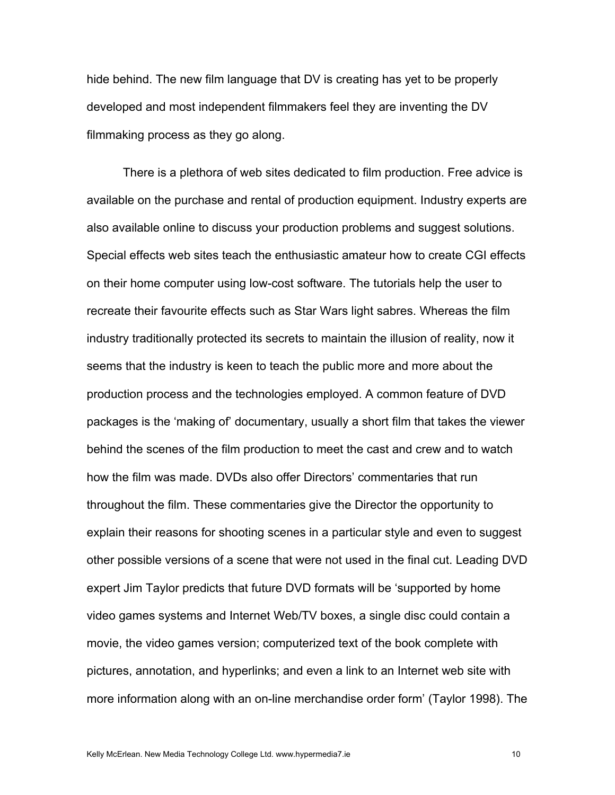hide behind. The new film language that DV is creating has yet to be properly developed and most independent filmmakers feel they are inventing the DV filmmaking process as they go along.

There is a plethora of web sites dedicated to film production. Free advice is available on the purchase and rental of production equipment. Industry experts are also available online to discuss your production problems and suggest solutions. Special effects web sites teach the enthusiastic amateur how to create CGI effects on their home computer using low-cost software. The tutorials help the user to recreate their favourite effects such as Star Wars light sabres. Whereas the film industry traditionally protected its secrets to maintain the illusion of reality, now it seems that the industry is keen to teach the public more and more about the production process and the technologies employed. A common feature of DVD packages is the 'making of' documentary, usually a short film that takes the viewer behind the scenes of the film production to meet the cast and crew and to watch how the film was made. DVDs also offer Directors' commentaries that run throughout the film. These commentaries give the Director the opportunity to explain their reasons for shooting scenes in a particular style and even to suggest other possible versions of a scene that were not used in the final cut. Leading DVD expert Jim Taylor predicts that future DVD formats will be 'supported by home video games systems and Internet Web/TV boxes, a single disc could contain a movie, the video games version; computerized text of the book complete with pictures, annotation, and hyperlinks; and even a link to an Internet web site with more information along with an on-line merchandise order form' (Taylor 1998). The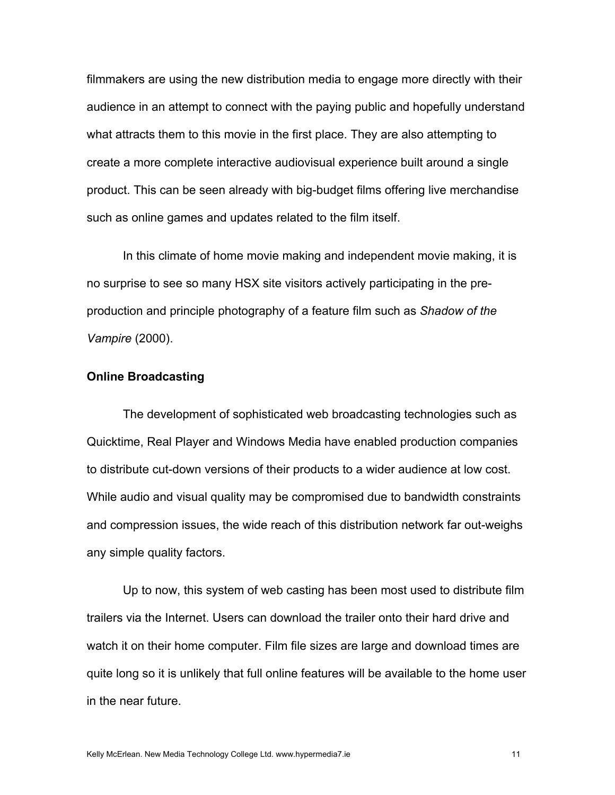filmmakers are using the new distribution media to engage more directly with their audience in an attempt to connect with the paying public and hopefully understand what attracts them to this movie in the first place. They are also attempting to create a more complete interactive audiovisual experience built around a single product. This can be seen already with big-budget films offering live merchandise such as online games and updates related to the film itself.

In this climate of home movie making and independent movie making, it is no surprise to see so many HSX site visitors actively participating in the preproduction and principle photography of a feature film such as *Shadow of the Vampire* (2000).

## **Online Broadcasting**

The development of sophisticated web broadcasting technologies such as Quicktime, Real Player and Windows Media have enabled production companies to distribute cut-down versions of their products to a wider audience at low cost. While audio and visual quality may be compromised due to bandwidth constraints and compression issues, the wide reach of this distribution network far out-weighs any simple quality factors.

Up to now, this system of web casting has been most used to distribute film trailers via the Internet. Users can download the trailer onto their hard drive and watch it on their home computer. Film file sizes are large and download times are quite long so it is unlikely that full online features will be available to the home user in the near future.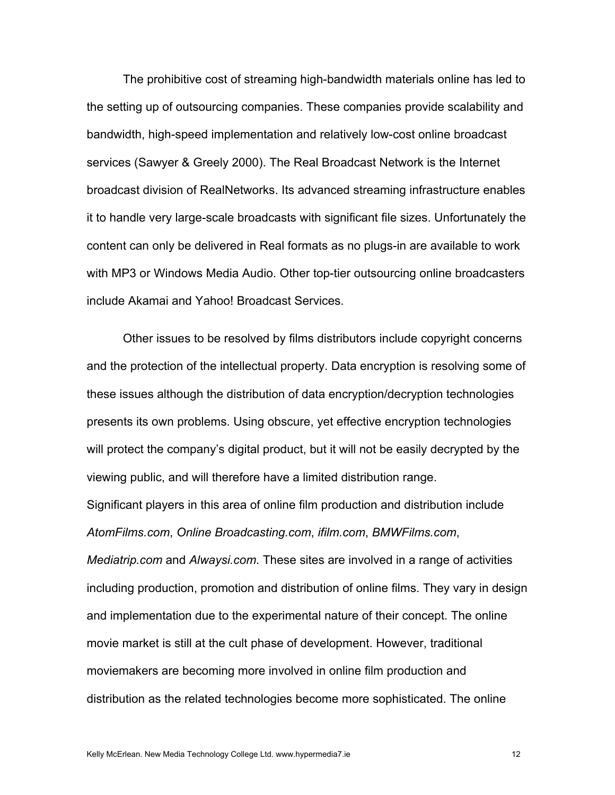The prohibitive cost of streaming high-bandwidth materials online has led to the setting up of outsourcing companies. These companies provide scalability and bandwidth, high-speed implementation and relatively low-cost online broadcast services (Sawyer & Greely 2000). The Real Broadcast Network is the Internet broadcast division of RealNetworks. Its advanced streaming infrastructure enables it to handle very large-scale broadcasts with significant file sizes. Unfortunately the content can only be delivered in Real formats as no plugs-in are available to work with MP3 or Windows Media Audio. Other top-tier outsourcing online broadcasters include Akamai and Yahoo! Broadcast Services.

Other issues to be resolved by films distributors include copyright concerns and the protection of the intellectual property. Data encryption is resolving some of these issues although the distribution of data encryption/decryption technologies presents its own problems. Using obscure, yet effective encryption technologies will protect the company's digital product, but it will not be easily decrypted by the viewing public, and will therefore have a limited distribution range. Significant players in this area of online film production and distribution include *AtomFilms.com*, *Online Broadcasting.com*, *ifilm.com*, *BMWFilms.com*, *Mediatrip.com* and *Alwaysi.com*. These sites are involved in a range of activities including production, promotion and distribution of online films. They vary in design and implementation due to the experimental nature of their concept. The online movie market is still at the cult phase of development. However, traditional moviemakers are becoming more involved in online film production and distribution as the related technologies become more sophisticated. The online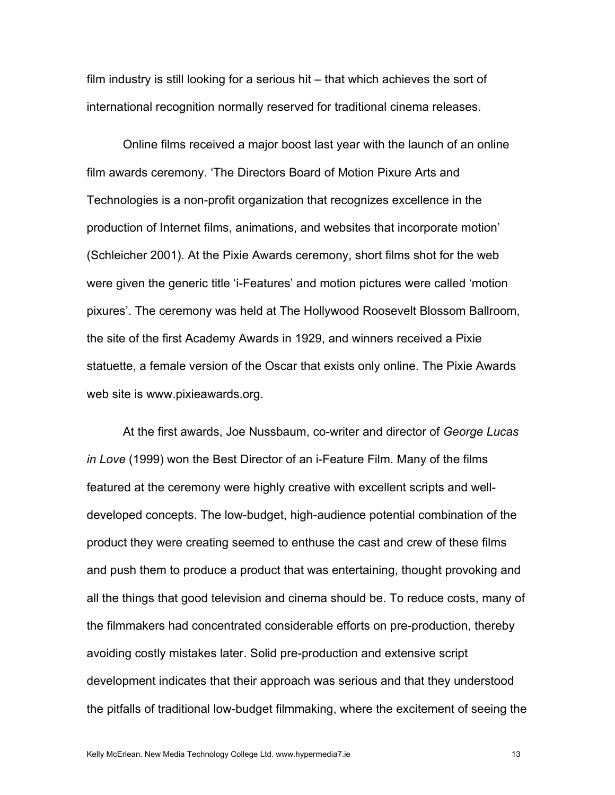film industry is still looking for a serious hit – that which achieves the sort of international recognition normally reserved for traditional cinema releases.

Online films received a major boost last year with the launch of an online film awards ceremony. 'The Directors Board of Motion Pixure Arts and Technologies is a non-profit organization that recognizes excellence in the production of Internet films, animations, and websites that incorporate motion' (Schleicher 2001). At the Pixie Awards ceremony, short films shot for the web were given the generic title 'i-Features' and motion pictures were called 'motion pixures'. The ceremony was held at The Hollywood Roosevelt Blossom Ballroom, the site of the first Academy Awards in 1929, and winners received a Pixie statuette, a female version of the Oscar that exists only online. The Pixie Awards web site is www.pixieawards.org.

At the first awards, Joe Nussbaum, co-writer and director of *George Lucas in Love* (1999) won the Best Director of an i-Feature Film. Many of the films featured at the ceremony were highly creative with excellent scripts and welldeveloped concepts. The low-budget, high-audience potential combination of the product they were creating seemed to enthuse the cast and crew of these films and push them to produce a product that was entertaining, thought provoking and all the things that good television and cinema should be. To reduce costs, many of the filmmakers had concentrated considerable efforts on pre-production, thereby avoiding costly mistakes later. Solid pre-production and extensive script development indicates that their approach was serious and that they understood the pitfalls of traditional low-budget filmmaking, where the excitement of seeing the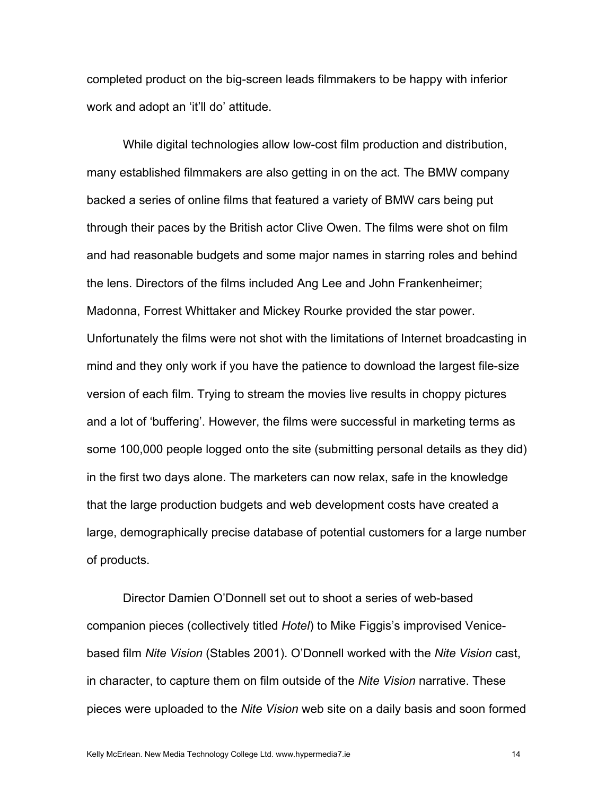completed product on the big-screen leads filmmakers to be happy with inferior work and adopt an 'it'll do' attitude.

While digital technologies allow low-cost film production and distribution, many established filmmakers are also getting in on the act. The BMW company backed a series of online films that featured a variety of BMW cars being put through their paces by the British actor Clive Owen. The films were shot on film and had reasonable budgets and some major names in starring roles and behind the lens. Directors of the films included Ang Lee and John Frankenheimer; Madonna, Forrest Whittaker and Mickey Rourke provided the star power. Unfortunately the films were not shot with the limitations of Internet broadcasting in mind and they only work if you have the patience to download the largest file-size version of each film. Trying to stream the movies live results in choppy pictures and a lot of 'buffering'. However, the films were successful in marketing terms as some 100,000 people logged onto the site (submitting personal details as they did) in the first two days alone. The marketers can now relax, safe in the knowledge that the large production budgets and web development costs have created a large, demographically precise database of potential customers for a large number of products.

Director Damien O'Donnell set out to shoot a series of web-based companion pieces (collectively titled *Hotel*) to Mike Figgis's improvised Venicebased film *Nite Vision* (Stables 2001). O'Donnell worked with the *Nite Vision* cast, in character, to capture them on film outside of the *Nite Vision* narrative. These pieces were uploaded to the *Nite Vision* web site on a daily basis and soon formed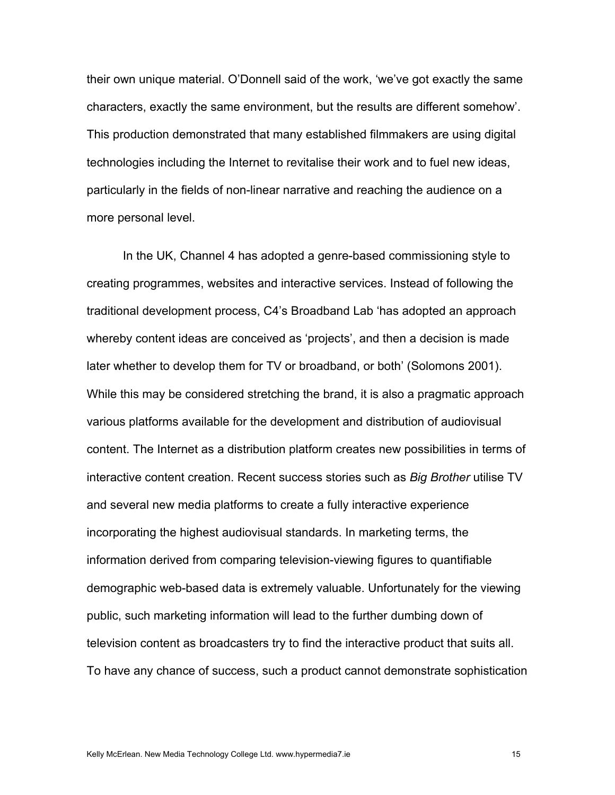their own unique material. O'Donnell said of the work, 'we've got exactly the same characters, exactly the same environment, but the results are different somehow'. This production demonstrated that many established filmmakers are using digital technologies including the Internet to revitalise their work and to fuel new ideas, particularly in the fields of non-linear narrative and reaching the audience on a more personal level.

In the UK, Channel 4 has adopted a genre-based commissioning style to creating programmes, websites and interactive services. Instead of following the traditional development process, C4's Broadband Lab 'has adopted an approach whereby content ideas are conceived as 'projects', and then a decision is made later whether to develop them for TV or broadband, or both' (Solomons 2001). While this may be considered stretching the brand, it is also a pragmatic approach various platforms available for the development and distribution of audiovisual content. The Internet as a distribution platform creates new possibilities in terms of interactive content creation. Recent success stories such as *Big Brother* utilise TV and several new media platforms to create a fully interactive experience incorporating the highest audiovisual standards. In marketing terms, the information derived from comparing television-viewing figures to quantifiable demographic web-based data is extremely valuable. Unfortunately for the viewing public, such marketing information will lead to the further dumbing down of television content as broadcasters try to find the interactive product that suits all. To have any chance of success, such a product cannot demonstrate sophistication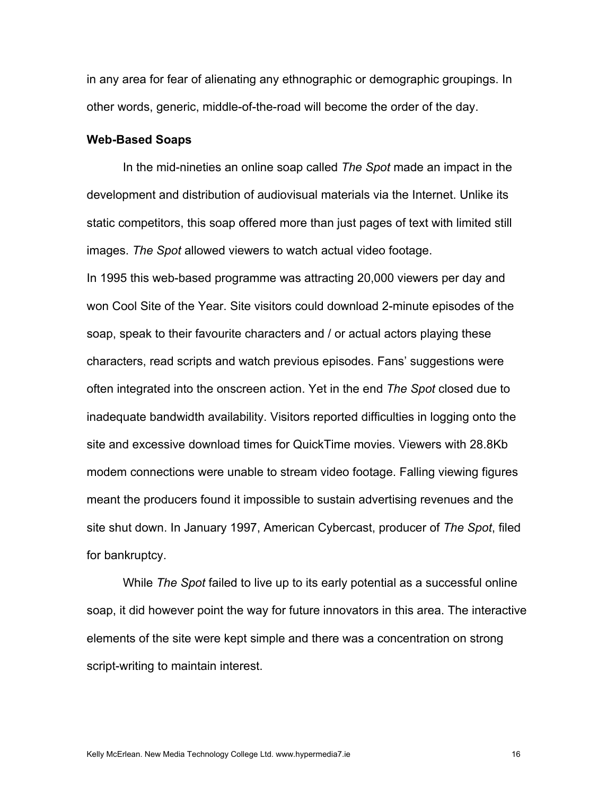in any area for fear of alienating any ethnographic or demographic groupings. In other words, generic, middle-of-the-road will become the order of the day.

## **Web-Based Soaps**

In the mid-nineties an online soap called *The Spot* made an impact in the development and distribution of audiovisual materials via the Internet. Unlike its static competitors, this soap offered more than just pages of text with limited still images. *The Spot* allowed viewers to watch actual video footage.

In 1995 this web-based programme was attracting 20,000 viewers per day and won Cool Site of the Year. Site visitors could download 2-minute episodes of the soap, speak to their favourite characters and / or actual actors playing these characters, read scripts and watch previous episodes. Fans' suggestions were often integrated into the onscreen action. Yet in the end *The Spot* closed due to inadequate bandwidth availability. Visitors reported difficulties in logging onto the site and excessive download times for QuickTime movies. Viewers with 28.8Kb modem connections were unable to stream video footage. Falling viewing figures meant the producers found it impossible to sustain advertising revenues and the site shut down. In January 1997, American Cybercast, producer of *The Spot*, filed for bankruptcy.

While *The Spot* failed to live up to its early potential as a successful online soap, it did however point the way for future innovators in this area. The interactive elements of the site were kept simple and there was a concentration on strong script-writing to maintain interest.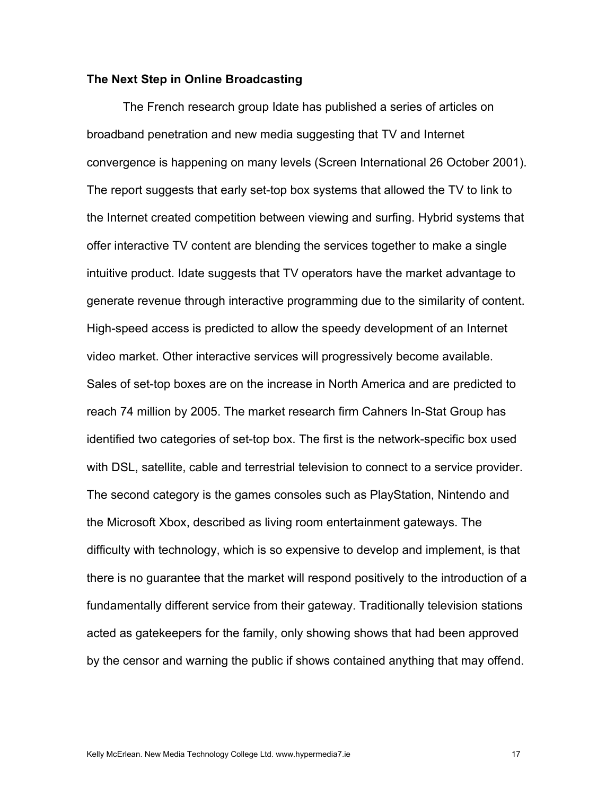## **The Next Step in Online Broadcasting**

The French research group Idate has published a series of articles on broadband penetration and new media suggesting that TV and Internet convergence is happening on many levels (Screen International 26 October 2001). The report suggests that early set-top box systems that allowed the TV to link to the Internet created competition between viewing and surfing. Hybrid systems that offer interactive TV content are blending the services together to make a single intuitive product. Idate suggests that TV operators have the market advantage to generate revenue through interactive programming due to the similarity of content. High-speed access is predicted to allow the speedy development of an Internet video market. Other interactive services will progressively become available. Sales of set-top boxes are on the increase in North America and are predicted to reach 74 million by 2005. The market research firm Cahners In-Stat Group has identified two categories of set-top box. The first is the network-specific box used with DSL, satellite, cable and terrestrial television to connect to a service provider. The second category is the games consoles such as PlayStation, Nintendo and the Microsoft Xbox, described as living room entertainment gateways. The difficulty with technology, which is so expensive to develop and implement, is that there is no guarantee that the market will respond positively to the introduction of a fundamentally different service from their gateway. Traditionally television stations acted as gatekeepers for the family, only showing shows that had been approved by the censor and warning the public if shows contained anything that may offend.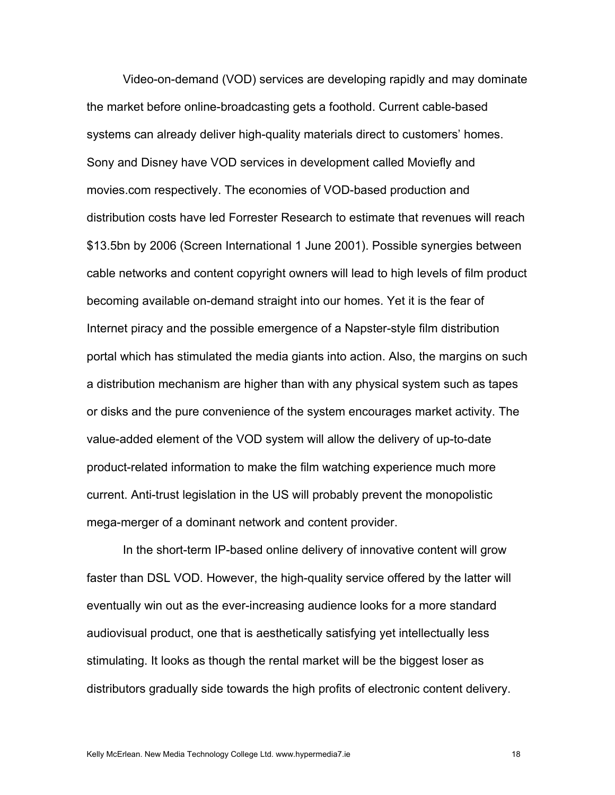Video-on-demand (VOD) services are developing rapidly and may dominate the market before online-broadcasting gets a foothold. Current cable-based systems can already deliver high-quality materials direct to customers' homes. Sony and Disney have VOD services in development called Moviefly and movies.com respectively. The economies of VOD-based production and distribution costs have led Forrester Research to estimate that revenues will reach \$13.5bn by 2006 (Screen International 1 June 2001). Possible synergies between cable networks and content copyright owners will lead to high levels of film product becoming available on-demand straight into our homes. Yet it is the fear of Internet piracy and the possible emergence of a Napster-style film distribution portal which has stimulated the media giants into action. Also, the margins on such a distribution mechanism are higher than with any physical system such as tapes or disks and the pure convenience of the system encourages market activity. The value-added element of the VOD system will allow the delivery of up-to-date product-related information to make the film watching experience much more current. Anti-trust legislation in the US will probably prevent the monopolistic mega-merger of a dominant network and content provider.

In the short-term IP-based online delivery of innovative content will grow faster than DSL VOD. However, the high-quality service offered by the latter will eventually win out as the ever-increasing audience looks for a more standard audiovisual product, one that is aesthetically satisfying yet intellectually less stimulating. It looks as though the rental market will be the biggest loser as distributors gradually side towards the high profits of electronic content delivery.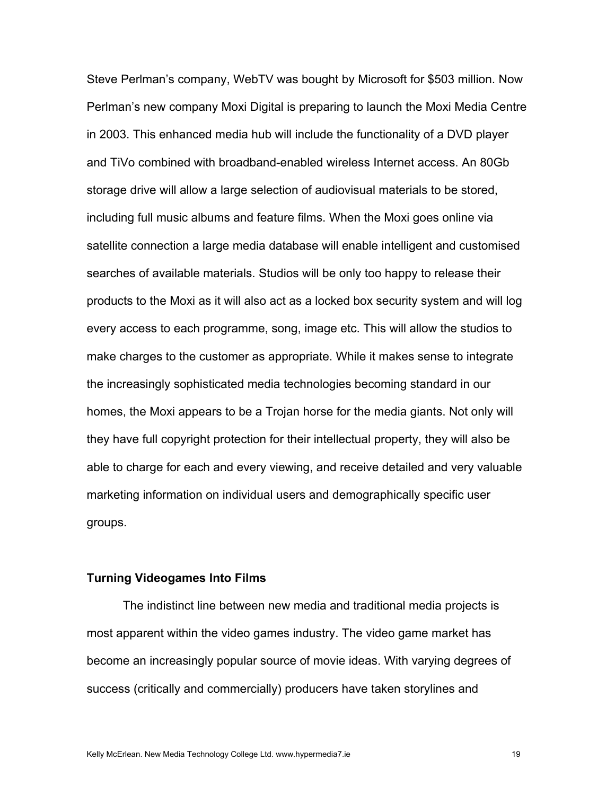Steve Perlman's company, WebTV was bought by Microsoft for \$503 million. Now Perlman's new company Moxi Digital is preparing to launch the Moxi Media Centre in 2003. This enhanced media hub will include the functionality of a DVD player and TiVo combined with broadband-enabled wireless Internet access. An 80Gb storage drive will allow a large selection of audiovisual materials to be stored, including full music albums and feature films. When the Moxi goes online via satellite connection a large media database will enable intelligent and customised searches of available materials. Studios will be only too happy to release their products to the Moxi as it will also act as a locked box security system and will log every access to each programme, song, image etc. This will allow the studios to make charges to the customer as appropriate. While it makes sense to integrate the increasingly sophisticated media technologies becoming standard in our homes, the Moxi appears to be a Trojan horse for the media giants. Not only will they have full copyright protection for their intellectual property, they will also be able to charge for each and every viewing, and receive detailed and very valuable marketing information on individual users and demographically specific user groups.

#### **Turning Videogames Into Films**

The indistinct line between new media and traditional media projects is most apparent within the video games industry. The video game market has become an increasingly popular source of movie ideas. With varying degrees of success (critically and commercially) producers have taken storylines and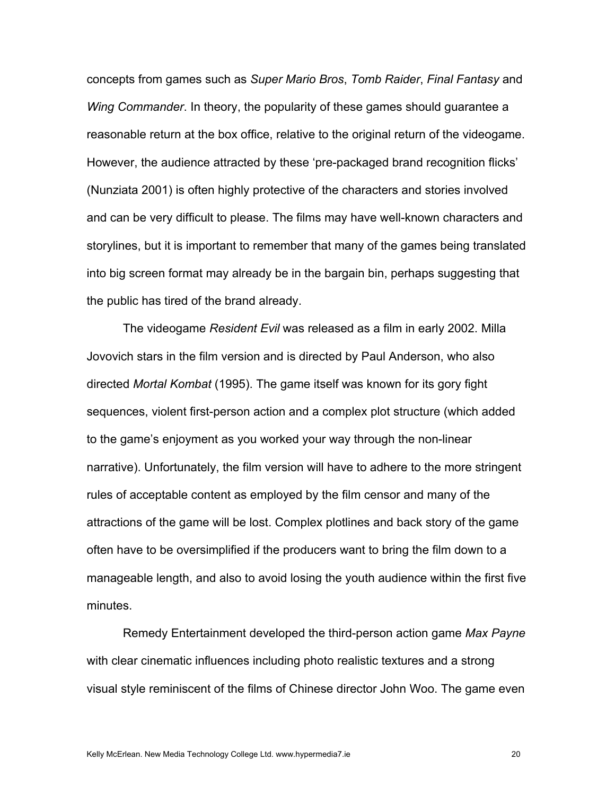concepts from games such as *Super Mario Bros*, *Tomb Raider*, *Final Fantasy* and *Wing Commander*. In theory, the popularity of these games should guarantee a reasonable return at the box office, relative to the original return of the videogame. However, the audience attracted by these 'pre-packaged brand recognition flicks' (Nunziata 2001) is often highly protective of the characters and stories involved and can be very difficult to please. The films may have well-known characters and storylines, but it is important to remember that many of the games being translated into big screen format may already be in the bargain bin, perhaps suggesting that the public has tired of the brand already.

The videogame *Resident Evil* was released as a film in early 2002. Milla Jovovich stars in the film version and is directed by Paul Anderson, who also directed *Mortal Kombat* (1995). The game itself was known for its gory fight sequences, violent first-person action and a complex plot structure (which added to the game's enjoyment as you worked your way through the non-linear narrative). Unfortunately, the film version will have to adhere to the more stringent rules of acceptable content as employed by the film censor and many of the attractions of the game will be lost. Complex plotlines and back story of the game often have to be oversimplified if the producers want to bring the film down to a manageable length, and also to avoid losing the youth audience within the first five minutes.

Remedy Entertainment developed the third-person action game *Max Payne* with clear cinematic influences including photo realistic textures and a strong visual style reminiscent of the films of Chinese director John Woo. The game even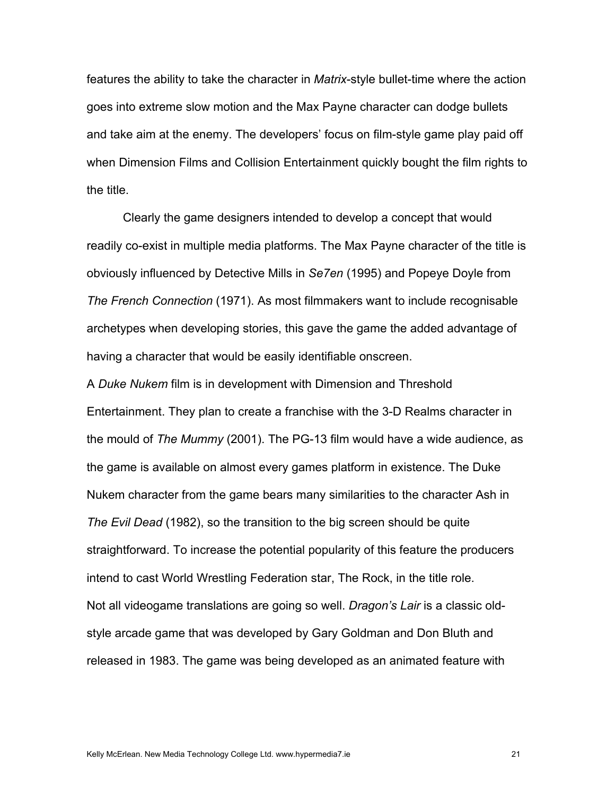features the ability to take the character in *Matrix*-style bullet-time where the action goes into extreme slow motion and the Max Payne character can dodge bullets and take aim at the enemy. The developers' focus on film-style game play paid off when Dimension Films and Collision Entertainment quickly bought the film rights to the title.

Clearly the game designers intended to develop a concept that would readily co-exist in multiple media platforms. The Max Payne character of the title is obviously influenced by Detective Mills in *Se7en* (1995) and Popeye Doyle from *The French Connection* (1971). As most filmmakers want to include recognisable archetypes when developing stories, this gave the game the added advantage of having a character that would be easily identifiable onscreen.

A *Duke Nukem* film is in development with Dimension and Threshold Entertainment. They plan to create a franchise with the 3-D Realms character in the mould of *The Mummy* (2001). The PG-13 film would have a wide audience, as the game is available on almost every games platform in existence. The Duke Nukem character from the game bears many similarities to the character Ash in *The Evil Dead* (1982), so the transition to the big screen should be quite straightforward. To increase the potential popularity of this feature the producers intend to cast World Wrestling Federation star, The Rock, in the title role. Not all videogame translations are going so well. *Dragon's Lair* is a classic oldstyle arcade game that was developed by Gary Goldman and Don Bluth and released in 1983. The game was being developed as an animated feature with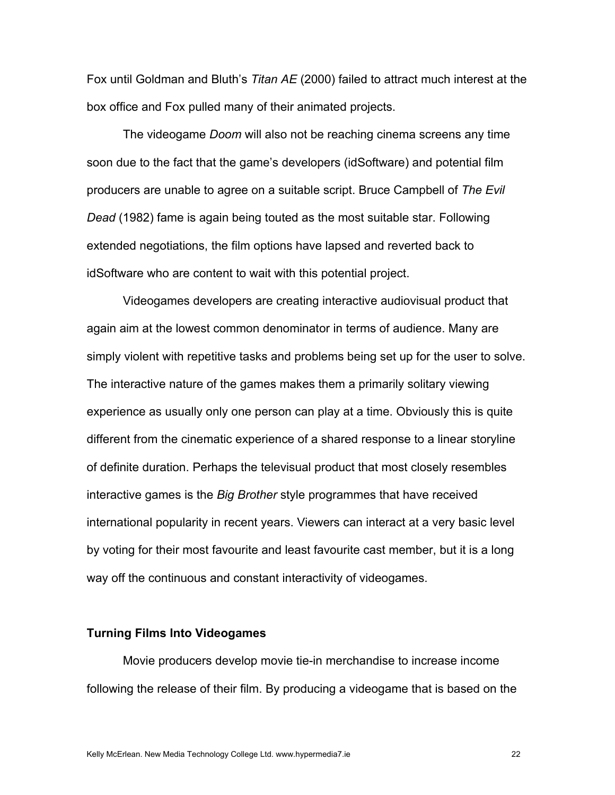Fox until Goldman and Bluth's *Titan AE* (2000) failed to attract much interest at the box office and Fox pulled many of their animated projects.

The videogame *Doom* will also not be reaching cinema screens any time soon due to the fact that the game's developers (idSoftware) and potential film producers are unable to agree on a suitable script. Bruce Campbell of *The Evil Dead* (1982) fame is again being touted as the most suitable star. Following extended negotiations, the film options have lapsed and reverted back to idSoftware who are content to wait with this potential project.

Videogames developers are creating interactive audiovisual product that again aim at the lowest common denominator in terms of audience. Many are simply violent with repetitive tasks and problems being set up for the user to solve. The interactive nature of the games makes them a primarily solitary viewing experience as usually only one person can play at a time. Obviously this is quite different from the cinematic experience of a shared response to a linear storyline of definite duration. Perhaps the televisual product that most closely resembles interactive games is the *Big Brother* style programmes that have received international popularity in recent years. Viewers can interact at a very basic level by voting for their most favourite and least favourite cast member, but it is a long way off the continuous and constant interactivity of videogames.

## **Turning Films Into Videogames**

Movie producers develop movie tie-in merchandise to increase income following the release of their film. By producing a videogame that is based on the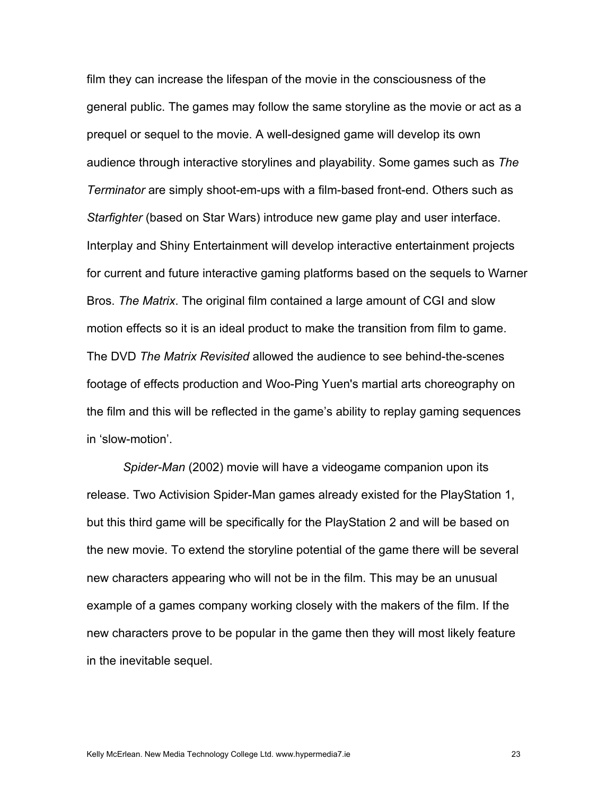film they can increase the lifespan of the movie in the consciousness of the general public. The games may follow the same storyline as the movie or act as a prequel or sequel to the movie. A well-designed game will develop its own audience through interactive storylines and playability. Some games such as *The Terminator* are simply shoot-em-ups with a film-based front-end. Others such as *Starfighter* (based on Star Wars) introduce new game play and user interface. Interplay and Shiny Entertainment will develop interactive entertainment projects for current and future interactive gaming platforms based on the sequels to Warner Bros. *The Matrix*. The original film contained a large amount of CGI and slow motion effects so it is an ideal product to make the transition from film to game. The DVD *The Matrix Revisited* allowed the audience to see behind-the-scenes footage of effects production and Woo-Ping Yuen's martial arts choreography on the film and this will be reflected in the game's ability to replay gaming sequences in 'slow-motion'.

*Spider-Man* (2002) movie will have a videogame companion upon its release. Two Activision Spider-Man games already existed for the PlayStation 1, but this third game will be specifically for the PlayStation 2 and will be based on the new movie. To extend the storyline potential of the game there will be several new characters appearing who will not be in the film. This may be an unusual example of a games company working closely with the makers of the film. If the new characters prove to be popular in the game then they will most likely feature in the inevitable sequel.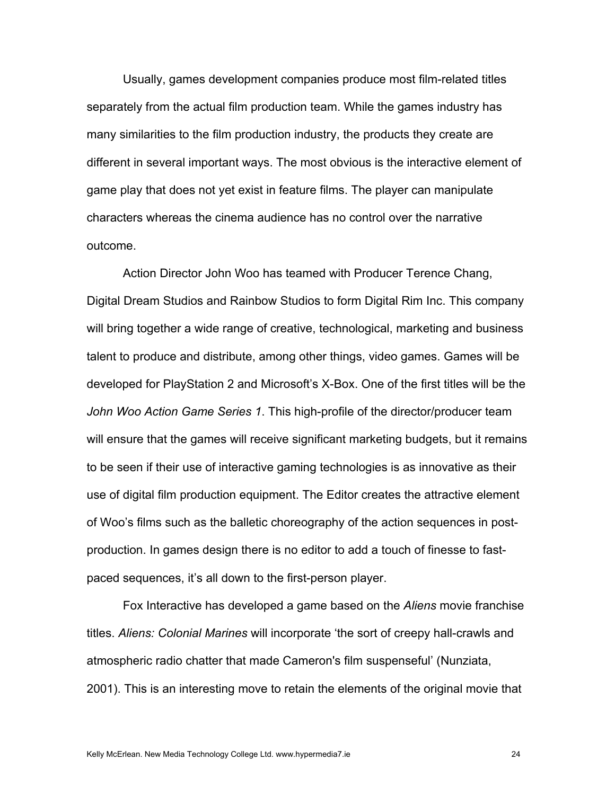Usually, games development companies produce most film-related titles separately from the actual film production team. While the games industry has many similarities to the film production industry, the products they create are different in several important ways. The most obvious is the interactive element of game play that does not yet exist in feature films. The player can manipulate characters whereas the cinema audience has no control over the narrative outcome.

 Action Director John Woo has teamed with Producer Terence Chang, Digital Dream Studios and Rainbow Studios to form Digital Rim Inc. This company will bring together a wide range of creative, technological, marketing and business talent to produce and distribute, among other things, video games. Games will be developed for PlayStation 2 and Microsoft's X-Box. One of the first titles will be the *John Woo Action Game Series 1*. This high-profile of the director/producer team will ensure that the games will receive significant marketing budgets, but it remains to be seen if their use of interactive gaming technologies is as innovative as their use of digital film production equipment. The Editor creates the attractive element of Woo's films such as the balletic choreography of the action sequences in postproduction. In games design there is no editor to add a touch of finesse to fastpaced sequences, it's all down to the first-person player.

Fox Interactive has developed a game based on the *Aliens* movie franchise titles. *Aliens: Colonial Marines* will incorporate 'the sort of creepy hall-crawls and atmospheric radio chatter that made Cameron's film suspenseful' (Nunziata, 2001). This is an interesting move to retain the elements of the original movie that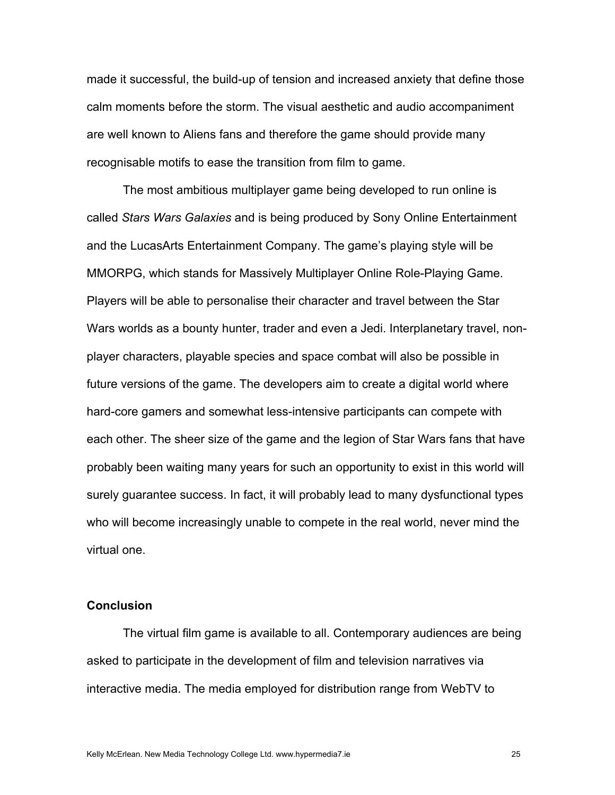made it successful, the build-up of tension and increased anxiety that define those calm moments before the storm. The visual aesthetic and audio accompaniment are well known to Aliens fans and therefore the game should provide many recognisable motifs to ease the transition from film to game.

The most ambitious multiplayer game being developed to run online is called *Stars Wars Galaxies* and is being produced by Sony Online Entertainment and the LucasArts Entertainment Company. The game's playing style will be MMORPG, which stands for Massively Multiplayer Online Role-Playing Game. Players will be able to personalise their character and travel between the Star Wars worlds as a bounty hunter, trader and even a Jedi. Interplanetary travel, nonplayer characters, playable species and space combat will also be possible in future versions of the game. The developers aim to create a digital world where hard-core gamers and somewhat less-intensive participants can compete with each other. The sheer size of the game and the legion of Star Wars fans that have probably been waiting many years for such an opportunity to exist in this world will surely guarantee success. In fact, it will probably lead to many dysfunctional types who will become increasingly unable to compete in the real world, never mind the virtual one.

## **Conclusion**

The virtual film game is available to all. Contemporary audiences are being asked to participate in the development of film and television narratives via interactive media. The media employed for distribution range from WebTV to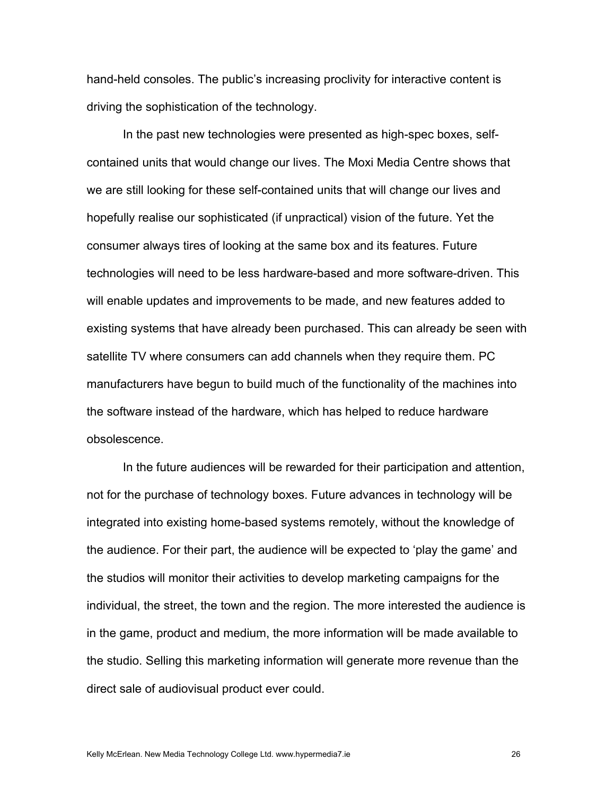hand-held consoles. The public's increasing proclivity for interactive content is driving the sophistication of the technology.

In the past new technologies were presented as high-spec boxes, selfcontained units that would change our lives. The Moxi Media Centre shows that we are still looking for these self-contained units that will change our lives and hopefully realise our sophisticated (if unpractical) vision of the future. Yet the consumer always tires of looking at the same box and its features. Future technologies will need to be less hardware-based and more software-driven. This will enable updates and improvements to be made, and new features added to existing systems that have already been purchased. This can already be seen with satellite TV where consumers can add channels when they require them. PC manufacturers have begun to build much of the functionality of the machines into the software instead of the hardware, which has helped to reduce hardware obsolescence.

In the future audiences will be rewarded for their participation and attention, not for the purchase of technology boxes. Future advances in technology will be integrated into existing home-based systems remotely, without the knowledge of the audience. For their part, the audience will be expected to 'play the game' and the studios will monitor their activities to develop marketing campaigns for the individual, the street, the town and the region. The more interested the audience is in the game, product and medium, the more information will be made available to the studio. Selling this marketing information will generate more revenue than the direct sale of audiovisual product ever could.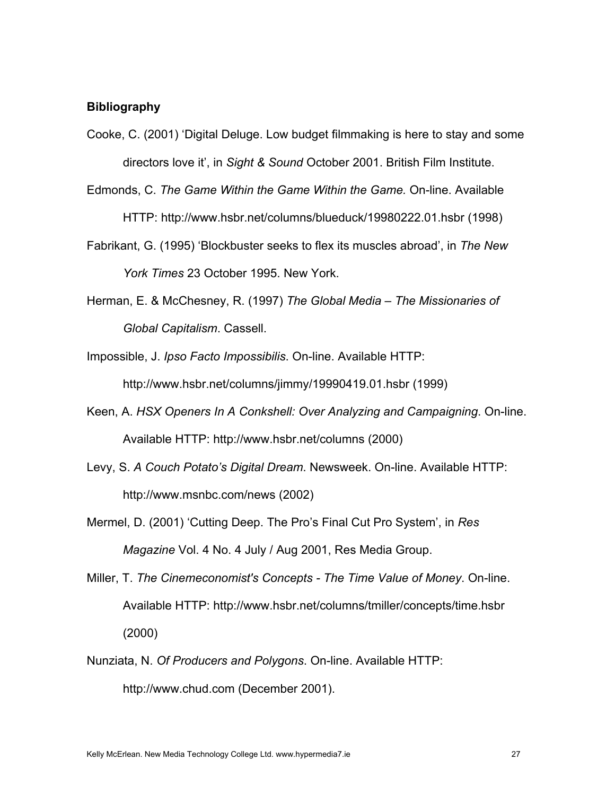### **Bibliography**

- Cooke, C. (2001) 'Digital Deluge. Low budget filmmaking is here to stay and some directors love it', in *Sight & Sound* October 2001. British Film Institute.
- Edmonds, C. *The Game Within the Game Within the Game.* On-line. Available HTTP: http://www.hsbr.net/columns/blueduck/19980222.01.hsbr (1998)
- Fabrikant, G. (1995) 'Blockbuster seeks to flex its muscles abroad', in *The New York Times* 23 October 1995. New York.
- Herman, E. & McChesney, R. (1997) *The Global Media The Missionaries of Global Capitalism*. Cassell.
- Impossible, J. *Ipso Facto Impossibilis*. On-line. Available HTTP: http://www.hsbr.net/columns/jimmy/19990419.01.hsbr (1999)
- Keen, A. *HSX Openers In A Conkshell: Over Analyzing and Campaigning*. On-line. Available HTTP: http://www.hsbr.net/columns (2000)
- Levy, S. *A Couch Potato's Digital Dream*. Newsweek. On-line. Available HTTP: http://www.msnbc.com/news (2002)
- Mermel, D. (2001) 'Cutting Deep. The Pro's Final Cut Pro System', in *Res Magazine* Vol. 4 No. 4 July / Aug 2001, Res Media Group.
- Miller, T. *The Cinemeconomist's Concepts The Time Value of Money*. On-line. Available HTTP: http://www.hsbr.net/columns/tmiller/concepts/time.hsbr (2000)
- Nunziata, N. *Of Producers and Polygons*. On-line. Available HTTP: http://www.chud.com (December 2001).